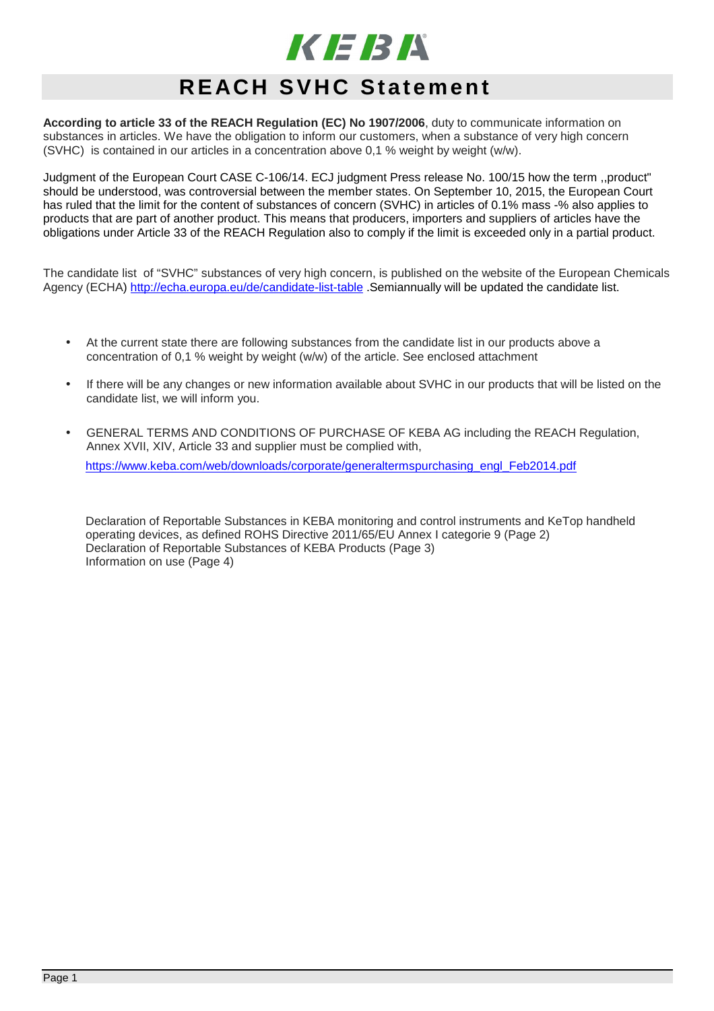

# **REACH SVHC Statement**

**According to article 33 of the REACH Regulation (EC) No 1907/2006**, duty to communicate information on substances in articles. We have the obligation to inform our customers, when a substance of very high concern (SVHC) is contained in our articles in a concentration above 0,1 % weight by weight (w/w).

Judgment of the European Court CASE C-106/14. ECJ judgment Press release No. 100/15 how the term ,,product" should be understood, was controversial between the member states. On September 10, 2015, the European Court has ruled that the limit for the content of substances of concern (SVHC) in articles of 0.1% mass -% also applies to products that are part of another product. This means that producers, importers and suppliers of articles have the obligations under Article 33 of the REACH Regulation also to comply if the limit is exceeded only in a partial product.

The candidate list of "SVHC" substances of very high concern, is published on the website of the European Chemicals Agency (ECHA) http://echa.europa.eu/de/candidate-list-table .Semiannually will be updated the candidate list.

- At the current state there are following substances from the candidate list in our products above a concentration of 0,1 % weight by weight (w/w) of the article. See enclosed attachment
- If there will be any changes or new information available about SVHC in our products that will be listed on the candidate list, we will inform you.
- GENERAL TERMS AND CONDITIONS OF PURCHASE OF KEBA AG including the REACH Regulation, Annex XVII, XIV, Article 33 and supplier must be complied with,

https://www.keba.com/web/downloads/corporate/generaltermspurchasing\_engl\_Feb2014.pdf

Declaration of Reportable Substances in KEBA monitoring and control instruments and KeTop handheld operating devices, as defined ROHS Directive 2011/65/EU Annex I categorie 9 (Page 2) Declaration of Reportable Substances of KEBA Products (Page 3) Information on use (Page 4)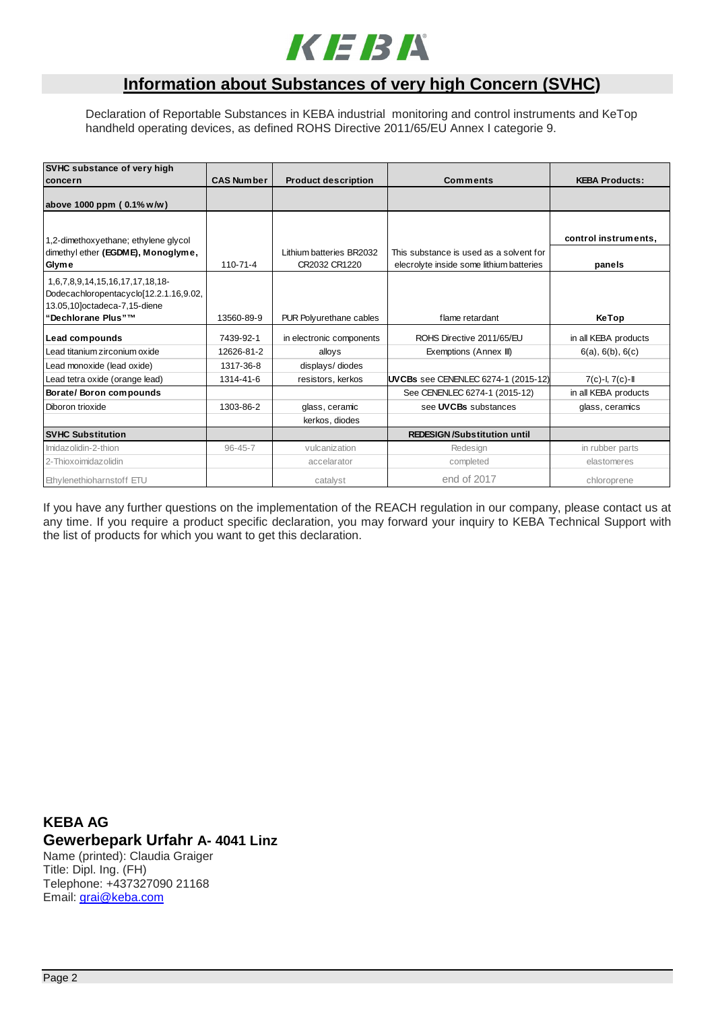

# **Information about Substances of very high Concern (SVHC)**

Declaration of Reportable Substances in KEBA industrial monitoring and control instruments and KeTop handheld operating devices, as defined ROHS Directive 2011/65/EU Annex I categorie 9.

| SVHC substance of very high<br>concern             | <b>CAS Number</b> | <b>Product description</b> | Comments                                 | <b>KEBA Products:</b> |  |
|----------------------------------------------------|-------------------|----------------------------|------------------------------------------|-----------------------|--|
| above 1000 ppm (0.1% w/w)                          |                   |                            |                                          |                       |  |
|                                                    |                   |                            |                                          |                       |  |
| 1,2-dimethoxyethane; ethylene glycol               |                   |                            |                                          | control instruments,  |  |
| dimethyl ether (EGDME), Monoglyme,                 |                   | Lithium batteries BR2032   | This substance is used as a solvent for  |                       |  |
| Glyme                                              | $110 - 71 - 4$    | CR2032 CR1220              | elecrolyte inside some lithium batteries | panels                |  |
| 1,6,7,8,9,14,15,16,17,17,18,18-                    |                   |                            |                                          |                       |  |
| Dodecachloropentacyclo[12.2.1.16,9.02,             |                   |                            |                                          |                       |  |
| 13.05,10]octadeca-7,15-diene<br>"Dechlorane Plus"™ | 13560-89-9        |                            | flame retardant                          |                       |  |
|                                                    |                   | PUR Polyurethane cables    |                                          | KeTop                 |  |
| Lead compounds                                     | 7439-92-1         | in electronic components   | ROHS Directive 2011/65/EU                | in all KEBA products  |  |
| Lead titanium zirconium oxide                      | 12626-81-2        | alloys                     | Exemptions (Annex III)                   | 6(a), 6(b), 6(c)      |  |
| Lead monoxide (lead oxide)                         | 1317-36-8         | displays/diodes            |                                          |                       |  |
| Lead tetra oxide (orange lead)                     | 1314-41-6         | resistors, kerkos          | UVCBs see CENENLEC 6274-1 (2015-12)      | $7(c) - I, 7(c) - II$ |  |
| Borate/Boron compounds                             |                   |                            | See CENENLEC 6274-1 (2015-12)            | in all KEBA products  |  |
| Diboron trioxide                                   | 1303-86-2         | glass, ceramic             | see UVCBs substances                     | glass, ceramics       |  |
|                                                    |                   | kerkos, diodes             |                                          |                       |  |
| <b>SVHC Substitution</b>                           |                   |                            | <b>REDESIGN/Substitution until</b>       |                       |  |
| Imidazolidin-2-thion                               | $96 - 45 - 7$     | vulcanization              | Redesign                                 | in rubber parts       |  |
| 2-Thioxoimidazolidin                               |                   | accelarator                | completed                                | elastomeres           |  |
| Ethylenethioharnstoff ETU                          |                   | catalyst                   | end of 2017                              | chloroprene           |  |

If you have any further questions on the implementation of the REACH regulation in our company, please contact us at any time. If you require a product specific declaration, you may forward your inquiry to KEBA Technical Support with the list of products for which you want to get this declaration.

**KEBA AG Gewerbepark Urfahr A- 4041 Linz** Name (printed): Claudia Graiger Title: Dipl. Ing. (FH) Telephone: +437327090 21168 Email: grai@keba.com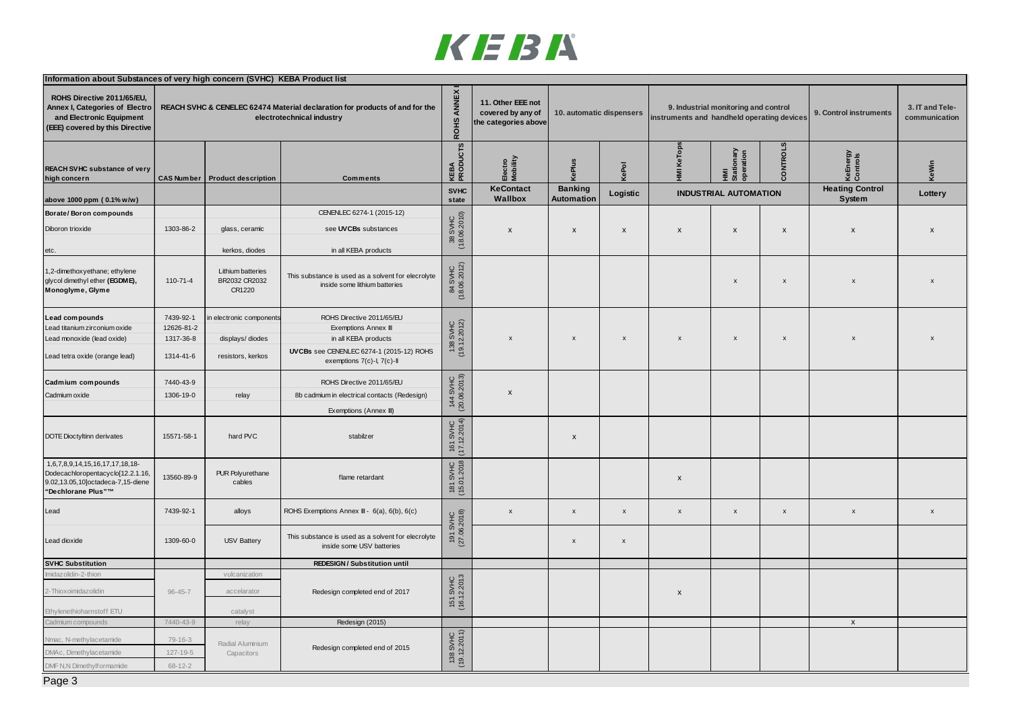

| ROHS ANNEX<br>ROHS Directive 2011/65/EU,<br>11. Other EEE not<br>Annex I, Categories of Electro<br>REACH SVHC & CENELEC 62474 Material declaration for products of and for the<br>3. IT and Tele-<br>9. Industrial monitoring and control<br>covered by any of<br>10. automatic dispensers<br>9. Control instruments<br>and Electronic Equipment<br>electrotechnical industry<br>instruments and handheld operating devices<br>communication<br>the categories above<br>(EEE) covered by this Directive<br>KEBA<br>PRODUCTS<br><b>NTROLS</b><br><b>KeTops</b><br>HMI<br>Stationary<br>operation<br>KeEnergy<br>Controls<br>Electro<br>Mobility<br>KePlus<br>KeWin<br>KePol<br>$\overline{M}$<br>g<br><b>CAS Number</b><br>high concern<br><b>Product description</b><br><b>Comments</b><br><b>KeContact</b><br><b>Heating Control</b><br><b>Banking</b><br><b>SVHC</b><br><b>INDUSTRIAL AUTOMATION</b><br>Logistic<br>Lottery<br>Wallbox<br><b>Automation</b><br>System<br>state<br>CENENLEC 6274-1 (2015-12)<br>38 SVHC<br>(18.06.2010)<br>1303-86-2<br>Diboron trioxide<br>glass, ceramic<br>see UVCBs substances<br>X<br>$\mathsf{x}$<br>$\boldsymbol{\mathsf{x}}$<br>X<br>$\boldsymbol{\mathsf{x}}$<br>$\boldsymbol{\mathsf{x}}$<br>$\boldsymbol{\mathsf{x}}$<br>$\mathbf{x}$<br>kerkos, diodes<br>in all KEBA products<br>etc.<br>84 SVHC<br>(18.06.2012)<br>1,2-dimethoxyethane; ethylene<br>Lithium batteries<br>This substance is used as a solvent for elecrolyte<br>BR2032 CR2032<br>110-71-4<br>$\mathsf X$<br>$\boldsymbol{\mathsf{x}}$<br>$\boldsymbol{\mathsf{x}}$<br>$\mathbf x$<br>inside some lithium batteries<br>CR1220<br>7439-92-1<br>ROHS Directive 2011/65/EU<br>electronic component<br>Lead compounds<br>138 SVHC<br>(19.12.2012)<br>12626-81-2<br>Lead titanium zirconium oxide<br>Exemptions Annex III<br>1317-36-8<br>displays/diodes<br>in all KEBA products<br>$\mathsf{x}$<br>$\pmb{\chi}$<br>$\pmb{\times}$<br>$\pmb{\mathsf{x}}$<br>$\mathsf{x}$<br>$\boldsymbol{\mathsf{x}}$<br>UVCBs see CENENLEC 6274-1 (2015-12) ROHS<br>1314-41-6<br>resistors, kerkos<br>exemptions 7(c)-I, 7(c)-II<br>144 SVHC<br>(20.06.2013)<br>7440-43-9<br>ROHS Directive 2011/65/EU<br>Cadmium compounds<br>$\boldsymbol{\mathsf{x}}$<br>Cadmium oxide<br>1306-19-0<br>8b cadmium in electrical contacts (Redesign)<br>relay<br>Exemptions (Annex III)<br>I SVHC<br>12.2014)<br>15571-58-1<br>hard PVC<br>stabilzer<br>$\pmb{\mathsf{x}}$<br>$161$<br>$(17.12)$<br>1,6,7,8,9,14,15,16,17,17,18,18-<br>181 SVHC<br>(15.01.2018<br>PUR Polyurethane<br>13560-89-9<br>flame retardant<br>X<br>cables<br>"Dechlorane Plus"™<br>7439-92-1<br>Lead<br>alloys<br>ROHS Exemptions Annex III - 6(a), 6(b), 6(c)<br>$\mathsf{x}$<br>$\mathsf{x}$<br>$\boldsymbol{\mathsf{x}}$<br>$\boldsymbol{\mathsf{x}}$<br>X<br>$\mathsf X$<br>$\mathsf{x}$<br>191 SVHC<br>(27.06.2018)<br>$\boldsymbol{x}$<br>This substance is used as a solvent for elecrolyte<br>1309-60-0<br><b>USV Battery</b><br>Lead dioxide<br>$\boldsymbol{\mathsf{x}}$<br>$\pmb{\times}$<br>inside some USV batteries<br><b>REDESIGN/Substitution until</b><br>midazolidin-2-thior<br>vulcanization<br>151 SVHC<br>(16.12.2013<br>2-Thioxoimidazolidin<br>$96 - 45 - 7$<br>accelarator<br>Redesign completed end of 2017<br>X<br>Ethylenethioharnstoff ETU<br>catalyst<br>Cadmium compounds<br>7440-43-9<br>Redesign (2015)<br>$\mathsf{x}$<br>relay<br>138 SVHC<br>(19.12.2011)<br>$79 - 16 - 3$<br>Nmac, N-methylacetamide<br>Radial Aluminium<br>Redesign completed end of 2015<br>$127 - 19 - 5$<br>DMAc, Dimethylacetamide<br>Capacitors<br>$68 - 12 - 2$ | Information about Substances of very high concern (SVHC) KEBA Product list |  |  |  |  |  |  |  |  |  |  |
|---------------------------------------------------------------------------------------------------------------------------------------------------------------------------------------------------------------------------------------------------------------------------------------------------------------------------------------------------------------------------------------------------------------------------------------------------------------------------------------------------------------------------------------------------------------------------------------------------------------------------------------------------------------------------------------------------------------------------------------------------------------------------------------------------------------------------------------------------------------------------------------------------------------------------------------------------------------------------------------------------------------------------------------------------------------------------------------------------------------------------------------------------------------------------------------------------------------------------------------------------------------------------------------------------------------------------------------------------------------------------------------------------------------------------------------------------------------------------------------------------------------------------------------------------------------------------------------------------------------------------------------------------------------------------------------------------------------------------------------------------------------------------------------------------------------------------------------------------------------------------------------------------------------------------------------------------------------------------------------------------------------------------------------------------------------------------------------------------------------------------------------------------------------------------------------------------------------------------------------------------------------------------------------------------------------------------------------------------------------------------------------------------------------------------------------------------------------------------------------------------------------------------------------------------------------------------------------------------------------------------------------------------------------------------------------------------------------------------------------------------------------------------------------------------------------------------------------------------------------------------------------------------------------------------------------------------------------------------------------------------------------------------------------------------------------------------------------------------------------------------------------------------------------------------------------------------------------------------------------------------------------------------------------------------------------------------------------------------------------------------------------------------------------------------------------------------------------------------------------------------------------------------------------------------------------------------------------------------------------------------------|----------------------------------------------------------------------------|--|--|--|--|--|--|--|--|--|--|
|                                                                                                                                                                                                                                                                                                                                                                                                                                                                                                                                                                                                                                                                                                                                                                                                                                                                                                                                                                                                                                                                                                                                                                                                                                                                                                                                                                                                                                                                                                                                                                                                                                                                                                                                                                                                                                                                                                                                                                                                                                                                                                                                                                                                                                                                                                                                                                                                                                                                                                                                                                                                                                                                                                                                                                                                                                                                                                                                                                                                                                                                                                                                                                                                                                                                                                                                                                                                                                                                                                                                                                                                                                 |                                                                            |  |  |  |  |  |  |  |  |  |  |
|                                                                                                                                                                                                                                                                                                                                                                                                                                                                                                                                                                                                                                                                                                                                                                                                                                                                                                                                                                                                                                                                                                                                                                                                                                                                                                                                                                                                                                                                                                                                                                                                                                                                                                                                                                                                                                                                                                                                                                                                                                                                                                                                                                                                                                                                                                                                                                                                                                                                                                                                                                                                                                                                                                                                                                                                                                                                                                                                                                                                                                                                                                                                                                                                                                                                                                                                                                                                                                                                                                                                                                                                                                 | REACH SVHC substance of very                                               |  |  |  |  |  |  |  |  |  |  |
|                                                                                                                                                                                                                                                                                                                                                                                                                                                                                                                                                                                                                                                                                                                                                                                                                                                                                                                                                                                                                                                                                                                                                                                                                                                                                                                                                                                                                                                                                                                                                                                                                                                                                                                                                                                                                                                                                                                                                                                                                                                                                                                                                                                                                                                                                                                                                                                                                                                                                                                                                                                                                                                                                                                                                                                                                                                                                                                                                                                                                                                                                                                                                                                                                                                                                                                                                                                                                                                                                                                                                                                                                                 | above 1000 ppm (0.1% w/w)                                                  |  |  |  |  |  |  |  |  |  |  |
|                                                                                                                                                                                                                                                                                                                                                                                                                                                                                                                                                                                                                                                                                                                                                                                                                                                                                                                                                                                                                                                                                                                                                                                                                                                                                                                                                                                                                                                                                                                                                                                                                                                                                                                                                                                                                                                                                                                                                                                                                                                                                                                                                                                                                                                                                                                                                                                                                                                                                                                                                                                                                                                                                                                                                                                                                                                                                                                                                                                                                                                                                                                                                                                                                                                                                                                                                                                                                                                                                                                                                                                                                                 | Borate/Boron compounds                                                     |  |  |  |  |  |  |  |  |  |  |
|                                                                                                                                                                                                                                                                                                                                                                                                                                                                                                                                                                                                                                                                                                                                                                                                                                                                                                                                                                                                                                                                                                                                                                                                                                                                                                                                                                                                                                                                                                                                                                                                                                                                                                                                                                                                                                                                                                                                                                                                                                                                                                                                                                                                                                                                                                                                                                                                                                                                                                                                                                                                                                                                                                                                                                                                                                                                                                                                                                                                                                                                                                                                                                                                                                                                                                                                                                                                                                                                                                                                                                                                                                 |                                                                            |  |  |  |  |  |  |  |  |  |  |
|                                                                                                                                                                                                                                                                                                                                                                                                                                                                                                                                                                                                                                                                                                                                                                                                                                                                                                                                                                                                                                                                                                                                                                                                                                                                                                                                                                                                                                                                                                                                                                                                                                                                                                                                                                                                                                                                                                                                                                                                                                                                                                                                                                                                                                                                                                                                                                                                                                                                                                                                                                                                                                                                                                                                                                                                                                                                                                                                                                                                                                                                                                                                                                                                                                                                                                                                                                                                                                                                                                                                                                                                                                 |                                                                            |  |  |  |  |  |  |  |  |  |  |
|                                                                                                                                                                                                                                                                                                                                                                                                                                                                                                                                                                                                                                                                                                                                                                                                                                                                                                                                                                                                                                                                                                                                                                                                                                                                                                                                                                                                                                                                                                                                                                                                                                                                                                                                                                                                                                                                                                                                                                                                                                                                                                                                                                                                                                                                                                                                                                                                                                                                                                                                                                                                                                                                                                                                                                                                                                                                                                                                                                                                                                                                                                                                                                                                                                                                                                                                                                                                                                                                                                                                                                                                                                 | glycol dimethyl ether (EGDME),<br>Monoglyme, Glyme                         |  |  |  |  |  |  |  |  |  |  |
|                                                                                                                                                                                                                                                                                                                                                                                                                                                                                                                                                                                                                                                                                                                                                                                                                                                                                                                                                                                                                                                                                                                                                                                                                                                                                                                                                                                                                                                                                                                                                                                                                                                                                                                                                                                                                                                                                                                                                                                                                                                                                                                                                                                                                                                                                                                                                                                                                                                                                                                                                                                                                                                                                                                                                                                                                                                                                                                                                                                                                                                                                                                                                                                                                                                                                                                                                                                                                                                                                                                                                                                                                                 |                                                                            |  |  |  |  |  |  |  |  |  |  |
|                                                                                                                                                                                                                                                                                                                                                                                                                                                                                                                                                                                                                                                                                                                                                                                                                                                                                                                                                                                                                                                                                                                                                                                                                                                                                                                                                                                                                                                                                                                                                                                                                                                                                                                                                                                                                                                                                                                                                                                                                                                                                                                                                                                                                                                                                                                                                                                                                                                                                                                                                                                                                                                                                                                                                                                                                                                                                                                                                                                                                                                                                                                                                                                                                                                                                                                                                                                                                                                                                                                                                                                                                                 |                                                                            |  |  |  |  |  |  |  |  |  |  |
|                                                                                                                                                                                                                                                                                                                                                                                                                                                                                                                                                                                                                                                                                                                                                                                                                                                                                                                                                                                                                                                                                                                                                                                                                                                                                                                                                                                                                                                                                                                                                                                                                                                                                                                                                                                                                                                                                                                                                                                                                                                                                                                                                                                                                                                                                                                                                                                                                                                                                                                                                                                                                                                                                                                                                                                                                                                                                                                                                                                                                                                                                                                                                                                                                                                                                                                                                                                                                                                                                                                                                                                                                                 | Lead monoxide (lead oxide)                                                 |  |  |  |  |  |  |  |  |  |  |
|                                                                                                                                                                                                                                                                                                                                                                                                                                                                                                                                                                                                                                                                                                                                                                                                                                                                                                                                                                                                                                                                                                                                                                                                                                                                                                                                                                                                                                                                                                                                                                                                                                                                                                                                                                                                                                                                                                                                                                                                                                                                                                                                                                                                                                                                                                                                                                                                                                                                                                                                                                                                                                                                                                                                                                                                                                                                                                                                                                                                                                                                                                                                                                                                                                                                                                                                                                                                                                                                                                                                                                                                                                 | Lead tetra oxide (orange lead)                                             |  |  |  |  |  |  |  |  |  |  |
|                                                                                                                                                                                                                                                                                                                                                                                                                                                                                                                                                                                                                                                                                                                                                                                                                                                                                                                                                                                                                                                                                                                                                                                                                                                                                                                                                                                                                                                                                                                                                                                                                                                                                                                                                                                                                                                                                                                                                                                                                                                                                                                                                                                                                                                                                                                                                                                                                                                                                                                                                                                                                                                                                                                                                                                                                                                                                                                                                                                                                                                                                                                                                                                                                                                                                                                                                                                                                                                                                                                                                                                                                                 |                                                                            |  |  |  |  |  |  |  |  |  |  |
|                                                                                                                                                                                                                                                                                                                                                                                                                                                                                                                                                                                                                                                                                                                                                                                                                                                                                                                                                                                                                                                                                                                                                                                                                                                                                                                                                                                                                                                                                                                                                                                                                                                                                                                                                                                                                                                                                                                                                                                                                                                                                                                                                                                                                                                                                                                                                                                                                                                                                                                                                                                                                                                                                                                                                                                                                                                                                                                                                                                                                                                                                                                                                                                                                                                                                                                                                                                                                                                                                                                                                                                                                                 |                                                                            |  |  |  |  |  |  |  |  |  |  |
|                                                                                                                                                                                                                                                                                                                                                                                                                                                                                                                                                                                                                                                                                                                                                                                                                                                                                                                                                                                                                                                                                                                                                                                                                                                                                                                                                                                                                                                                                                                                                                                                                                                                                                                                                                                                                                                                                                                                                                                                                                                                                                                                                                                                                                                                                                                                                                                                                                                                                                                                                                                                                                                                                                                                                                                                                                                                                                                                                                                                                                                                                                                                                                                                                                                                                                                                                                                                                                                                                                                                                                                                                                 |                                                                            |  |  |  |  |  |  |  |  |  |  |
|                                                                                                                                                                                                                                                                                                                                                                                                                                                                                                                                                                                                                                                                                                                                                                                                                                                                                                                                                                                                                                                                                                                                                                                                                                                                                                                                                                                                                                                                                                                                                                                                                                                                                                                                                                                                                                                                                                                                                                                                                                                                                                                                                                                                                                                                                                                                                                                                                                                                                                                                                                                                                                                                                                                                                                                                                                                                                                                                                                                                                                                                                                                                                                                                                                                                                                                                                                                                                                                                                                                                                                                                                                 | DOTE Dioctyltinn derivates                                                 |  |  |  |  |  |  |  |  |  |  |
|                                                                                                                                                                                                                                                                                                                                                                                                                                                                                                                                                                                                                                                                                                                                                                                                                                                                                                                                                                                                                                                                                                                                                                                                                                                                                                                                                                                                                                                                                                                                                                                                                                                                                                                                                                                                                                                                                                                                                                                                                                                                                                                                                                                                                                                                                                                                                                                                                                                                                                                                                                                                                                                                                                                                                                                                                                                                                                                                                                                                                                                                                                                                                                                                                                                                                                                                                                                                                                                                                                                                                                                                                                 | Dodecachloropentacyclo[12.2.1.16,<br>9.02,13.05,10]octadeca-7,15-diene     |  |  |  |  |  |  |  |  |  |  |
|                                                                                                                                                                                                                                                                                                                                                                                                                                                                                                                                                                                                                                                                                                                                                                                                                                                                                                                                                                                                                                                                                                                                                                                                                                                                                                                                                                                                                                                                                                                                                                                                                                                                                                                                                                                                                                                                                                                                                                                                                                                                                                                                                                                                                                                                                                                                                                                                                                                                                                                                                                                                                                                                                                                                                                                                                                                                                                                                                                                                                                                                                                                                                                                                                                                                                                                                                                                                                                                                                                                                                                                                                                 |                                                                            |  |  |  |  |  |  |  |  |  |  |
|                                                                                                                                                                                                                                                                                                                                                                                                                                                                                                                                                                                                                                                                                                                                                                                                                                                                                                                                                                                                                                                                                                                                                                                                                                                                                                                                                                                                                                                                                                                                                                                                                                                                                                                                                                                                                                                                                                                                                                                                                                                                                                                                                                                                                                                                                                                                                                                                                                                                                                                                                                                                                                                                                                                                                                                                                                                                                                                                                                                                                                                                                                                                                                                                                                                                                                                                                                                                                                                                                                                                                                                                                                 |                                                                            |  |  |  |  |  |  |  |  |  |  |
|                                                                                                                                                                                                                                                                                                                                                                                                                                                                                                                                                                                                                                                                                                                                                                                                                                                                                                                                                                                                                                                                                                                                                                                                                                                                                                                                                                                                                                                                                                                                                                                                                                                                                                                                                                                                                                                                                                                                                                                                                                                                                                                                                                                                                                                                                                                                                                                                                                                                                                                                                                                                                                                                                                                                                                                                                                                                                                                                                                                                                                                                                                                                                                                                                                                                                                                                                                                                                                                                                                                                                                                                                                 | <b>SVHC Substitution</b>                                                   |  |  |  |  |  |  |  |  |  |  |
|                                                                                                                                                                                                                                                                                                                                                                                                                                                                                                                                                                                                                                                                                                                                                                                                                                                                                                                                                                                                                                                                                                                                                                                                                                                                                                                                                                                                                                                                                                                                                                                                                                                                                                                                                                                                                                                                                                                                                                                                                                                                                                                                                                                                                                                                                                                                                                                                                                                                                                                                                                                                                                                                                                                                                                                                                                                                                                                                                                                                                                                                                                                                                                                                                                                                                                                                                                                                                                                                                                                                                                                                                                 |                                                                            |  |  |  |  |  |  |  |  |  |  |
|                                                                                                                                                                                                                                                                                                                                                                                                                                                                                                                                                                                                                                                                                                                                                                                                                                                                                                                                                                                                                                                                                                                                                                                                                                                                                                                                                                                                                                                                                                                                                                                                                                                                                                                                                                                                                                                                                                                                                                                                                                                                                                                                                                                                                                                                                                                                                                                                                                                                                                                                                                                                                                                                                                                                                                                                                                                                                                                                                                                                                                                                                                                                                                                                                                                                                                                                                                                                                                                                                                                                                                                                                                 |                                                                            |  |  |  |  |  |  |  |  |  |  |
|                                                                                                                                                                                                                                                                                                                                                                                                                                                                                                                                                                                                                                                                                                                                                                                                                                                                                                                                                                                                                                                                                                                                                                                                                                                                                                                                                                                                                                                                                                                                                                                                                                                                                                                                                                                                                                                                                                                                                                                                                                                                                                                                                                                                                                                                                                                                                                                                                                                                                                                                                                                                                                                                                                                                                                                                                                                                                                                                                                                                                                                                                                                                                                                                                                                                                                                                                                                                                                                                                                                                                                                                                                 |                                                                            |  |  |  |  |  |  |  |  |  |  |
|                                                                                                                                                                                                                                                                                                                                                                                                                                                                                                                                                                                                                                                                                                                                                                                                                                                                                                                                                                                                                                                                                                                                                                                                                                                                                                                                                                                                                                                                                                                                                                                                                                                                                                                                                                                                                                                                                                                                                                                                                                                                                                                                                                                                                                                                                                                                                                                                                                                                                                                                                                                                                                                                                                                                                                                                                                                                                                                                                                                                                                                                                                                                                                                                                                                                                                                                                                                                                                                                                                                                                                                                                                 |                                                                            |  |  |  |  |  |  |  |  |  |  |
|                                                                                                                                                                                                                                                                                                                                                                                                                                                                                                                                                                                                                                                                                                                                                                                                                                                                                                                                                                                                                                                                                                                                                                                                                                                                                                                                                                                                                                                                                                                                                                                                                                                                                                                                                                                                                                                                                                                                                                                                                                                                                                                                                                                                                                                                                                                                                                                                                                                                                                                                                                                                                                                                                                                                                                                                                                                                                                                                                                                                                                                                                                                                                                                                                                                                                                                                                                                                                                                                                                                                                                                                                                 |                                                                            |  |  |  |  |  |  |  |  |  |  |
|                                                                                                                                                                                                                                                                                                                                                                                                                                                                                                                                                                                                                                                                                                                                                                                                                                                                                                                                                                                                                                                                                                                                                                                                                                                                                                                                                                                                                                                                                                                                                                                                                                                                                                                                                                                                                                                                                                                                                                                                                                                                                                                                                                                                                                                                                                                                                                                                                                                                                                                                                                                                                                                                                                                                                                                                                                                                                                                                                                                                                                                                                                                                                                                                                                                                                                                                                                                                                                                                                                                                                                                                                                 |                                                                            |  |  |  |  |  |  |  |  |  |  |
|                                                                                                                                                                                                                                                                                                                                                                                                                                                                                                                                                                                                                                                                                                                                                                                                                                                                                                                                                                                                                                                                                                                                                                                                                                                                                                                                                                                                                                                                                                                                                                                                                                                                                                                                                                                                                                                                                                                                                                                                                                                                                                                                                                                                                                                                                                                                                                                                                                                                                                                                                                                                                                                                                                                                                                                                                                                                                                                                                                                                                                                                                                                                                                                                                                                                                                                                                                                                                                                                                                                                                                                                                                 | DMF N,N Dimethylformamide                                                  |  |  |  |  |  |  |  |  |  |  |